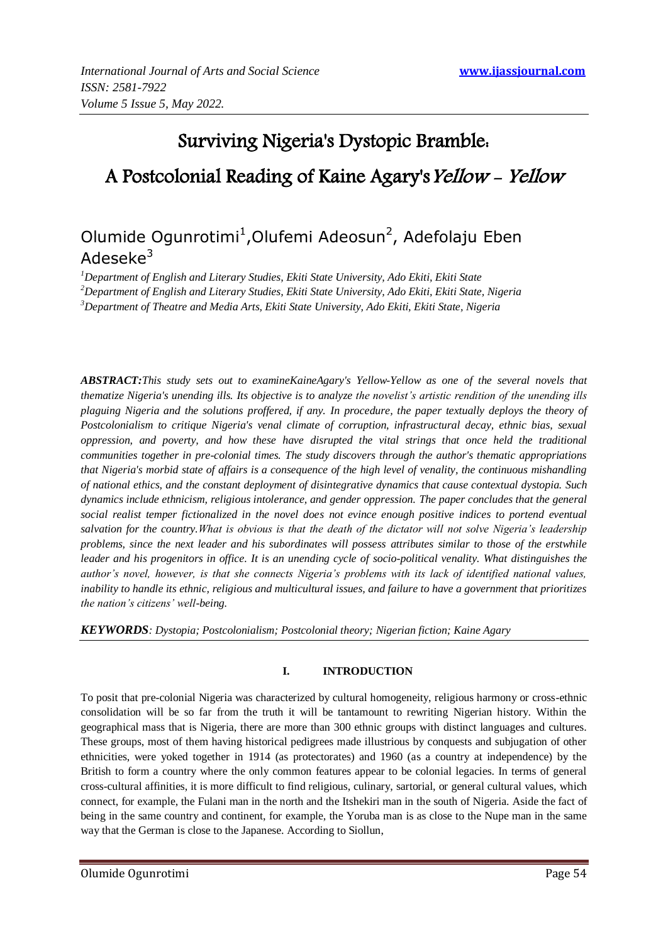# Surviving Nigeria's Dystopic Bramble: A Postcolonial Reading of Kaine Agary's Yellow - Yellow

## Olumide Ogunrotimi<sup>1</sup>, Olufemi Adeosun<sup>2</sup>, Adefolaju Eben Adeseke $3$

*<sup>1</sup>Department of English and Literary Studies, Ekiti State University, Ado Ekiti, Ekiti State*

*<sup>2</sup>Department of English and Literary Studies, Ekiti State University, Ado Ekiti, Ekiti State, Nigeria*

*<sup>3</sup>Department of Theatre and Media Arts, Ekiti State University, Ado Ekiti, Ekiti State, Nigeria*

*ABSTRACT:This study sets out to examineKaineAgary's Yellow-Yellow as one of the several novels that thematize Nigeria's unending ills. Its objective is to analyze the novelist's artistic rendition of the unending ills plaguing Nigeria and the solutions proffered, if any. In procedure, the paper textually deploys the theory of Postcolonialism to critique Nigeria's venal climate of corruption, infrastructural decay, ethnic bias, sexual oppression, and poverty, and how these have disrupted the vital strings that once held the traditional communities together in pre-colonial times. The study discovers through the author's thematic appropriations that Nigeria's morbid state of affairs is a consequence of the high level of venality, the continuous mishandling of national ethics, and the constant deployment of disintegrative dynamics that cause contextual dystopia. Such dynamics include ethnicism, religious intolerance, and gender oppression. The paper concludes that the general social realist temper fictionalized in the novel does not evince enough positive indices to portend eventual salvation for the country.What is obvious is that the death of the dictator will not solve Nigeria's leadership problems, since the next leader and his subordinates will possess attributes similar to those of the erstwhile leader and his progenitors in office. It is an unending cycle of socio-political venality. What distinguishes the author's novel, however, is that she connects Nigeria's problems with its lack of identified national values, inability to handle its ethnic, religious and multicultural issues, and failure to have a government that prioritizes the nation's citizens' well-being.* 

*KEYWORDS: Dystopia; Postcolonialism; Postcolonial theory; Nigerian fiction; Kaine Agary*

### **I. INTRODUCTION**

To posit that pre-colonial Nigeria was characterized by cultural homogeneity, religious harmony or cross-ethnic consolidation will be so far from the truth it will be tantamount to rewriting Nigerian history. Within the geographical mass that is Nigeria, there are more than 300 ethnic groups with distinct languages and cultures. These groups, most of them having historical pedigrees made illustrious by conquests and subjugation of other ethnicities, were yoked together in 1914 (as protectorates) and 1960 (as a country at independence) by the British to form a country where the only common features appear to be colonial legacies. In terms of general cross-cultural affinities, it is more difficult to find religious, culinary, sartorial, or general cultural values, which connect, for example, the Fulani man in the north and the Itshekiri man in the south of Nigeria. Aside the fact of being in the same country and continent, for example, the Yoruba man is as close to the Nupe man in the same way that the German is close to the Japanese. According to Siollun,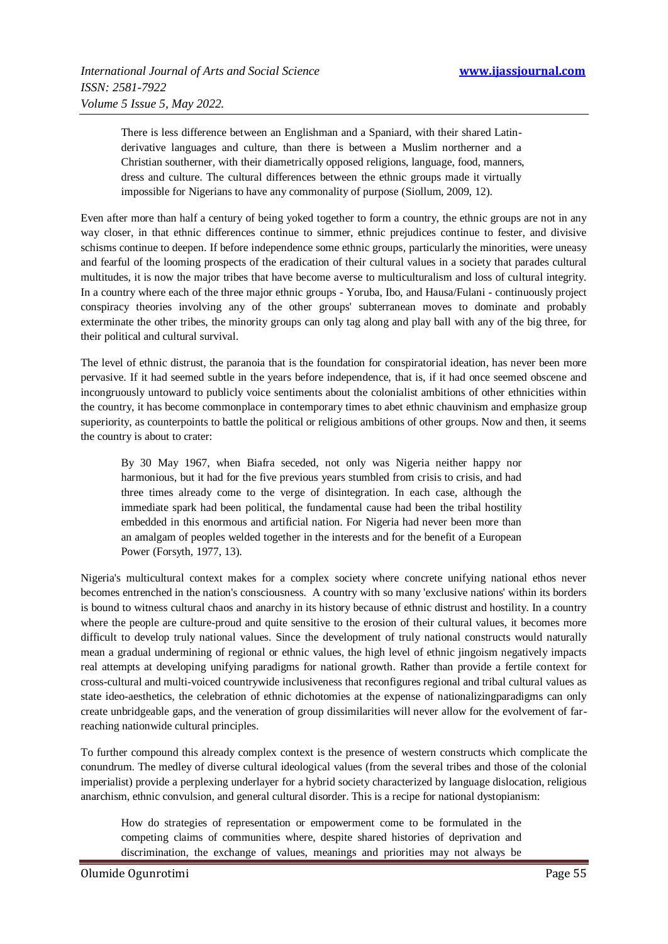There is less difference between an Englishman and a Spaniard, with their shared Latinderivative languages and culture, than there is between a Muslim northerner and a Christian southerner, with their diametrically opposed religions, language, food, manners, dress and culture. The cultural differences between the ethnic groups made it virtually impossible for Nigerians to have any commonality of purpose (Siollum, 2009, 12).

Even after more than half a century of being yoked together to form a country, the ethnic groups are not in any way closer, in that ethnic differences continue to simmer, ethnic prejudices continue to fester, and divisive schisms continue to deepen. If before independence some ethnic groups, particularly the minorities, were uneasy and fearful of the looming prospects of the eradication of their cultural values in a society that parades cultural multitudes, it is now the major tribes that have become averse to multiculturalism and loss of cultural integrity. In a country where each of the three major ethnic groups - Yoruba, Ibo, and Hausa/Fulani - continuously project conspiracy theories involving any of the other groups' subterranean moves to dominate and probably exterminate the other tribes, the minority groups can only tag along and play ball with any of the big three, for their political and cultural survival.

The level of ethnic distrust, the paranoia that is the foundation for conspiratorial ideation, has never been more pervasive. If it had seemed subtle in the years before independence, that is, if it had once seemed obscene and incongruously untoward to publicly voice sentiments about the colonialist ambitions of other ethnicities within the country, it has become commonplace in contemporary times to abet ethnic chauvinism and emphasize group superiority, as counterpoints to battle the political or religious ambitions of other groups. Now and then, it seems the country is about to crater:

By 30 May 1967, when Biafra seceded, not only was Nigeria neither happy nor harmonious, but it had for the five previous years stumbled from crisis to crisis, and had three times already come to the verge of disintegration. In each case, although the immediate spark had been political, the fundamental cause had been the tribal hostility embedded in this enormous and artificial nation. For Nigeria had never been more than an amalgam of peoples welded together in the interests and for the benefit of a European Power (Forsyth, 1977, 13).

Nigeria's multicultural context makes for a complex society where concrete unifying national ethos never becomes entrenched in the nation's consciousness. A country with so many 'exclusive nations' within its borders is bound to witness cultural chaos and anarchy in its history because of ethnic distrust and hostility. In a country where the people are culture-proud and quite sensitive to the erosion of their cultural values, it becomes more difficult to develop truly national values. Since the development of truly national constructs would naturally mean a gradual undermining of regional or ethnic values, the high level of ethnic jingoism negatively impacts real attempts at developing unifying paradigms for national growth. Rather than provide a fertile context for cross-cultural and multi-voiced countrywide inclusiveness that reconfigures regional and tribal cultural values as state ideo-aesthetics, the celebration of ethnic dichotomies at the expense of nationalizingparadigms can only create unbridgeable gaps, and the veneration of group dissimilarities will never allow for the evolvement of farreaching nationwide cultural principles.

To further compound this already complex context is the presence of western constructs which complicate the conundrum. The medley of diverse cultural ideological values (from the several tribes and those of the colonial imperialist) provide a perplexing underlayer for a hybrid society characterized by language dislocation, religious anarchism, ethnic convulsion, and general cultural disorder. This is a recipe for national dystopianism:

How do strategies of representation or empowerment come to be formulated in the competing claims of communities where, despite shared histories of deprivation and discrimination, the exchange of values, meanings and priorities may not always be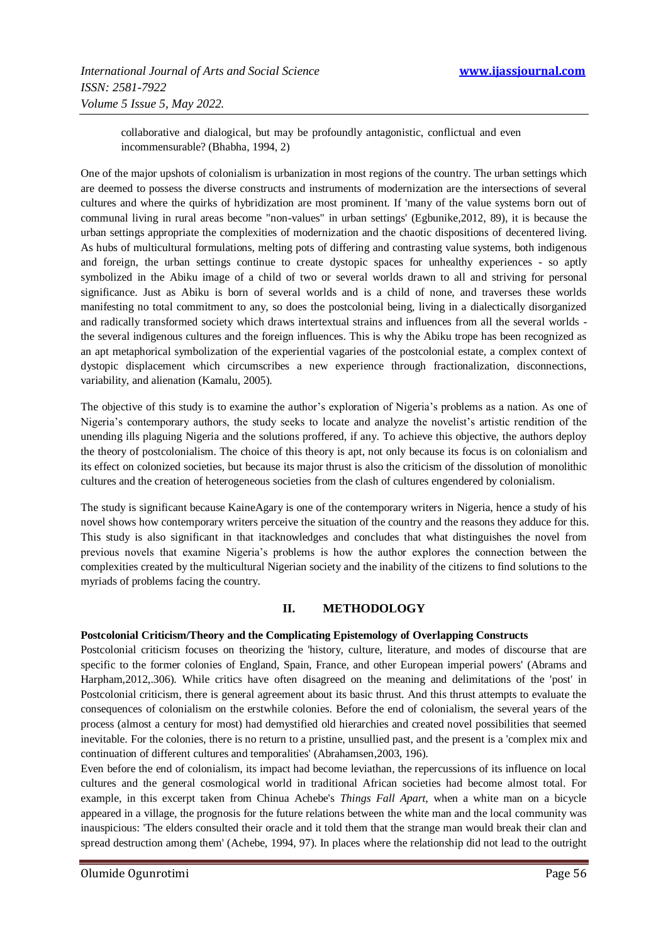collaborative and dialogical, but may be profoundly antagonistic, conflictual and even incommensurable? (Bhabha, 1994, 2)

One of the major upshots of colonialism is urbanization in most regions of the country. The urban settings which are deemed to possess the diverse constructs and instruments of modernization are the intersections of several cultures and where the quirks of hybridization are most prominent. If 'many of the value systems born out of communal living in rural areas become "non-values" in urban settings' (Egbunike,2012, 89), it is because the urban settings appropriate the complexities of modernization and the chaotic dispositions of decentered living. As hubs of multicultural formulations, melting pots of differing and contrasting value systems, both indigenous and foreign, the urban settings continue to create dystopic spaces for unhealthy experiences - so aptly symbolized in the Abiku image of a child of two or several worlds drawn to all and striving for personal significance. Just as Abiku is born of several worlds and is a child of none, and traverses these worlds manifesting no total commitment to any, so does the postcolonial being, living in a dialectically disorganized and radically transformed society which draws intertextual strains and influences from all the several worlds the several indigenous cultures and the foreign influences. This is why the Abiku trope has been recognized as an apt metaphorical symbolization of the experiential vagaries of the postcolonial estate, a complex context of dystopic displacement which circumscribes a new experience through fractionalization, disconnections, variability, and alienation (Kamalu, 2005).

The objective of this study is to examine the author's exploration of Nigeria's problems as a nation. As one of Nigeria's contemporary authors, the study seeks to locate and analyze the novelist's artistic rendition of the unending ills plaguing Nigeria and the solutions proffered, if any. To achieve this objective, the authors deploy the theory of postcolonialism. The choice of this theory is apt, not only because its focus is on colonialism and its effect on colonized societies, but because its major thrust is also the criticism of the dissolution of monolithic cultures and the creation of heterogeneous societies from the clash of cultures engendered by colonialism.

The study is significant because KaineAgary is one of the contemporary writers in Nigeria, hence a study of his novel shows how contemporary writers perceive the situation of the country and the reasons they adduce for this. This study is also significant in that itacknowledges and concludes that what distinguishes the novel from previous novels that examine Nigeria's problems is how the author explores the connection between the complexities created by the multicultural Nigerian society and the inability of the citizens to find solutions to the myriads of problems facing the country.

#### **II. METHODOLOGY**

#### **Postcolonial Criticism/Theory and the Complicating Epistemology of Overlapping Constructs**

Postcolonial criticism focuses on theorizing the 'history, culture, literature, and modes of discourse that are specific to the former colonies of England, Spain, France, and other European imperial powers' (Abrams and Harpham,2012,.306). While critics have often disagreed on the meaning and delimitations of the 'post' in Postcolonial criticism, there is general agreement about its basic thrust. And this thrust attempts to evaluate the consequences of colonialism on the erstwhile colonies. Before the end of colonialism, the several years of the process (almost a century for most) had demystified old hierarchies and created novel possibilities that seemed inevitable. For the colonies, there is no return to a pristine, unsullied past, and the present is a 'complex mix and continuation of different cultures and temporalities' (Abrahamsen,2003, 196).

Even before the end of colonialism, its impact had become leviathan, the repercussions of its influence on local cultures and the general cosmological world in traditional African societies had become almost total. For example, in this excerpt taken from Chinua Achebe's *Things Fall Apart*, when a white man on a bicycle appeared in a village, the prognosis for the future relations between the white man and the local community was inauspicious: 'The elders consulted their oracle and it told them that the strange man would break their clan and spread destruction among them' (Achebe, 1994, 97). In places where the relationship did not lead to the outright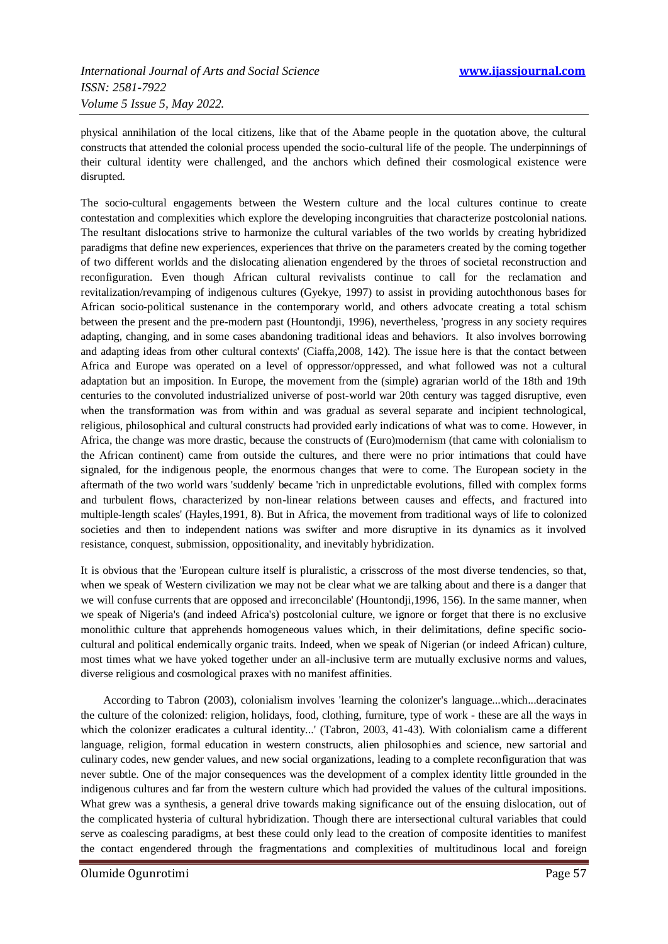physical annihilation of the local citizens, like that of the Abame people in the quotation above, the cultural constructs that attended the colonial process upended the socio-cultural life of the people. The underpinnings of their cultural identity were challenged, and the anchors which defined their cosmological existence were disrupted.

The socio-cultural engagements between the Western culture and the local cultures continue to create contestation and complexities which explore the developing incongruities that characterize postcolonial nations. The resultant dislocations strive to harmonize the cultural variables of the two worlds by creating hybridized paradigms that define new experiences, experiences that thrive on the parameters created by the coming together of two different worlds and the dislocating alienation engendered by the throes of societal reconstruction and reconfiguration. Even though African cultural revivalists continue to call for the reclamation and revitalization/revamping of indigenous cultures (Gyekye, 1997) to assist in providing autochthonous bases for African socio-political sustenance in the contemporary world, and others advocate creating a total schism between the present and the pre-modern past (Hountondji, 1996), nevertheless, 'progress in any society requires adapting, changing, and in some cases abandoning traditional ideas and behaviors. It also involves borrowing and adapting ideas from other cultural contexts' (Ciaffa,2008, 142). The issue here is that the contact between Africa and Europe was operated on a level of oppressor/oppressed, and what followed was not a cultural adaptation but an imposition. In Europe, the movement from the (simple) agrarian world of the 18th and 19th centuries to the convoluted industrialized universe of post-world war 20th century was tagged disruptive, even when the transformation was from within and was gradual as several separate and incipient technological, religious, philosophical and cultural constructs had provided early indications of what was to come. However, in Africa, the change was more drastic, because the constructs of (Euro)modernism (that came with colonialism to the African continent) came from outside the cultures, and there were no prior intimations that could have signaled, for the indigenous people, the enormous changes that were to come. The European society in the aftermath of the two world wars 'suddenly' became 'rich in unpredictable evolutions, filled with complex forms and turbulent flows, characterized by non-linear relations between causes and effects, and fractured into multiple-length scales' (Hayles,1991, 8). But in Africa, the movement from traditional ways of life to colonized societies and then to independent nations was swifter and more disruptive in its dynamics as it involved resistance, conquest, submission, oppositionality, and inevitably hybridization.

It is obvious that the 'European culture itself is pluralistic, a crisscross of the most diverse tendencies, so that, when we speak of Western civilization we may not be clear what we are talking about and there is a danger that we will confuse currents that are opposed and irreconcilable' (Hountondji,1996, 156). In the same manner, when we speak of Nigeria's (and indeed Africa's) postcolonial culture, we ignore or forget that there is no exclusive monolithic culture that apprehends homogeneous values which, in their delimitations, define specific sociocultural and political endemically organic traits. Indeed, when we speak of Nigerian (or indeed African) culture, most times what we have yoked together under an all-inclusive term are mutually exclusive norms and values, diverse religious and cosmological praxes with no manifest affinities.

 According to Tabron (2003), colonialism involves 'learning the colonizer's language...which...deracinates the culture of the colonized: religion, holidays, food, clothing, furniture, type of work - these are all the ways in which the colonizer eradicates a cultural identity...' (Tabron, 2003, 41-43). With colonialism came a different language, religion, formal education in western constructs, alien philosophies and science, new sartorial and culinary codes, new gender values, and new social organizations, leading to a complete reconfiguration that was never subtle. One of the major consequences was the development of a complex identity little grounded in the indigenous cultures and far from the western culture which had provided the values of the cultural impositions. What grew was a synthesis, a general drive towards making significance out of the ensuing dislocation, out of the complicated hysteria of cultural hybridization. Though there are intersectional cultural variables that could serve as coalescing paradigms, at best these could only lead to the creation of composite identities to manifest the contact engendered through the fragmentations and complexities of multitudinous local and foreign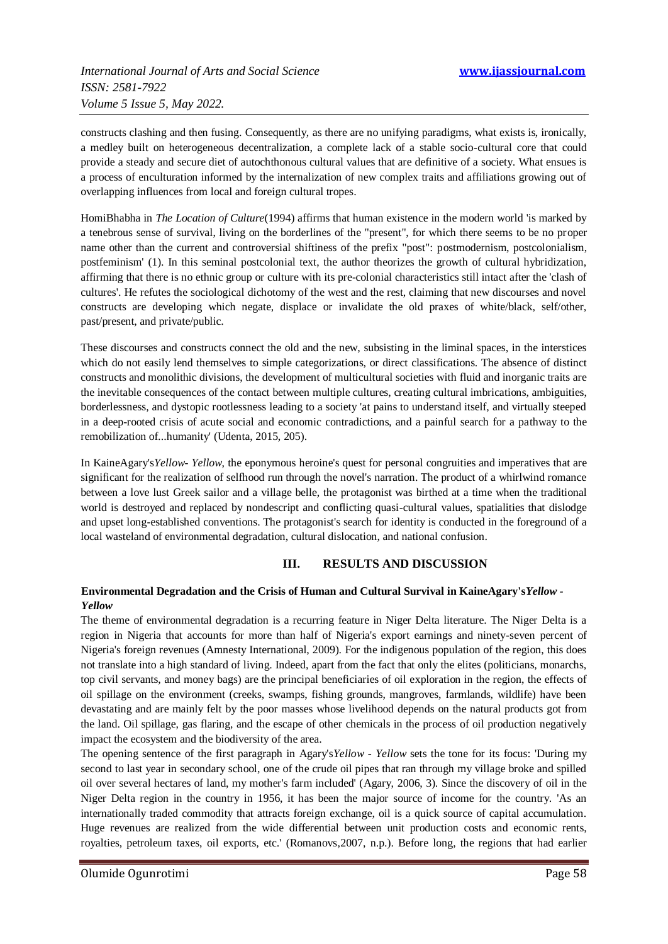constructs clashing and then fusing. Consequently, as there are no unifying paradigms, what exists is, ironically, a medley built on heterogeneous decentralization, a complete lack of a stable socio-cultural core that could provide a steady and secure diet of autochthonous cultural values that are definitive of a society. What ensues is a process of enculturation informed by the internalization of new complex traits and affiliations growing out of overlapping influences from local and foreign cultural tropes.

HomiBhabha in *The Location of Culture*(1994) affirms that human existence in the modern world 'is marked by a tenebrous sense of survival, living on the borderlines of the "present", for which there seems to be no proper name other than the current and controversial shiftiness of the prefix "post": postmodernism, postcolonialism, postfeminism' (1). In this seminal postcolonial text, the author theorizes the growth of cultural hybridization, affirming that there is no ethnic group or culture with its pre-colonial characteristics still intact after the 'clash of cultures'. He refutes the sociological dichotomy of the west and the rest, claiming that new discourses and novel constructs are developing which negate, displace or invalidate the old praxes of white/black, self/other, past/present, and private/public.

These discourses and constructs connect the old and the new, subsisting in the liminal spaces, in the interstices which do not easily lend themselves to simple categorizations, or direct classifications. The absence of distinct constructs and monolithic divisions, the development of multicultural societies with fluid and inorganic traits are the inevitable consequences of the contact between multiple cultures, creating cultural imbrications, ambiguities, borderlessness, and dystopic rootlessness leading to a society 'at pains to understand itself, and virtually steeped in a deep-rooted crisis of acute social and economic contradictions, and a painful search for a pathway to the remobilization of...humanity' (Udenta, 2015, 205).

In KaineAgary's*Yellow- Yellow*, the eponymous heroine's quest for personal congruities and imperatives that are significant for the realization of selfhood run through the novel's narration. The product of a whirlwind romance between a love lust Greek sailor and a village belle, the protagonist was birthed at a time when the traditional world is destroyed and replaced by nondescript and conflicting quasi-cultural values, spatialities that dislodge and upset long-established conventions. The protagonist's search for identity is conducted in the foreground of a local wasteland of environmental degradation, cultural dislocation, and national confusion.

#### **III. RESULTS AND DISCUSSION**

#### **Environmental Degradation and the Crisis of Human and Cultural Survival in KaineAgary's***Yellow - Yellow*

The theme of environmental degradation is a recurring feature in Niger Delta literature. The Niger Delta is a region in Nigeria that accounts for more than half of Nigeria's export earnings and ninety-seven percent of Nigeria's foreign revenues (Amnesty International, 2009). For the indigenous population of the region, this does not translate into a high standard of living. Indeed, apart from the fact that only the elites (politicians, monarchs, top civil servants, and money bags) are the principal beneficiaries of oil exploration in the region, the effects of oil spillage on the environment (creeks, swamps, fishing grounds, mangroves, farmlands, wildlife) have been devastating and are mainly felt by the poor masses whose livelihood depends on the natural products got from the land. Oil spillage, gas flaring, and the escape of other chemicals in the process of oil production negatively impact the ecosystem and the biodiversity of the area.

The opening sentence of the first paragraph in Agary's*Yellow - Yellow* sets the tone for its focus: 'During my second to last year in secondary school, one of the crude oil pipes that ran through my village broke and spilled oil over several hectares of land, my mother's farm included' (Agary, 2006, 3). Since the discovery of oil in the Niger Delta region in the country in 1956, it has been the major source of income for the country. 'As an internationally traded commodity that attracts foreign exchange, oil is a quick source of capital accumulation. Huge revenues are realized from the wide differential between unit production costs and economic rents, royalties, petroleum taxes, oil exports, etc.' (Romanovs,2007, n.p.). Before long, the regions that had earlier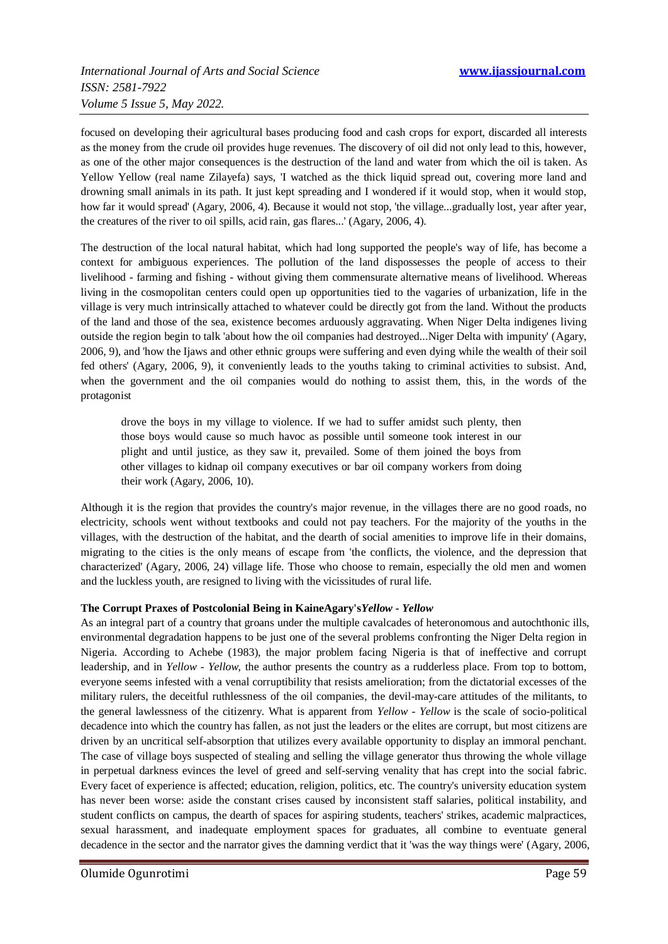focused on developing their agricultural bases producing food and cash crops for export, discarded all interests as the money from the crude oil provides huge revenues. The discovery of oil did not only lead to this, however, as one of the other major consequences is the destruction of the land and water from which the oil is taken. As Yellow Yellow (real name Zilayefa) says, 'I watched as the thick liquid spread out, covering more land and drowning small animals in its path. It just kept spreading and I wondered if it would stop, when it would stop, how far it would spread' (Agary, 2006, 4). Because it would not stop, 'the village...gradually lost, year after year, the creatures of the river to oil spills, acid rain, gas flares...' (Agary, 2006, 4).

The destruction of the local natural habitat, which had long supported the people's way of life, has become a context for ambiguous experiences. The pollution of the land dispossesses the people of access to their livelihood - farming and fishing - without giving them commensurate alternative means of livelihood. Whereas living in the cosmopolitan centers could open up opportunities tied to the vagaries of urbanization, life in the village is very much intrinsically attached to whatever could be directly got from the land. Without the products of the land and those of the sea, existence becomes arduously aggravating. When Niger Delta indigenes living outside the region begin to talk 'about how the oil companies had destroyed...Niger Delta with impunity' (Agary, 2006, 9), and 'how the Ijaws and other ethnic groups were suffering and even dying while the wealth of their soil fed others' (Agary, 2006, 9), it conveniently leads to the youths taking to criminal activities to subsist. And, when the government and the oil companies would do nothing to assist them, this, in the words of the protagonist

drove the boys in my village to violence. If we had to suffer amidst such plenty, then those boys would cause so much havoc as possible until someone took interest in our plight and until justice, as they saw it, prevailed. Some of them joined the boys from other villages to kidnap oil company executives or bar oil company workers from doing their work (Agary, 2006, 10).

Although it is the region that provides the country's major revenue, in the villages there are no good roads, no electricity, schools went without textbooks and could not pay teachers. For the majority of the youths in the villages, with the destruction of the habitat, and the dearth of social amenities to improve life in their domains, migrating to the cities is the only means of escape from 'the conflicts, the violence, and the depression that characterized' (Agary, 2006, 24) village life. Those who choose to remain, especially the old men and women and the luckless youth, are resigned to living with the vicissitudes of rural life.

#### **The Corrupt Praxes of Postcolonial Being in KaineAgary's***Yellow - Yellow*

As an integral part of a country that groans under the multiple cavalcades of heteronomous and autochthonic ills, environmental degradation happens to be just one of the several problems confronting the Niger Delta region in Nigeria. According to Achebe (1983), the major problem facing Nigeria is that of ineffective and corrupt leadership, and in *Yellow - Yellow,* the author presents the country as a rudderless place. From top to bottom, everyone seems infested with a venal corruptibility that resists amelioration; from the dictatorial excesses of the military rulers, the deceitful ruthlessness of the oil companies, the devil-may-care attitudes of the militants, to the general lawlessness of the citizenry. What is apparent from *Yellow - Yellow* is the scale of socio-political decadence into which the country has fallen, as not just the leaders or the elites are corrupt, but most citizens are driven by an uncritical self-absorption that utilizes every available opportunity to display an immoral penchant. The case of village boys suspected of stealing and selling the village generator thus throwing the whole village in perpetual darkness evinces the level of greed and self-serving venality that has crept into the social fabric. Every facet of experience is affected; education, religion, politics, etc. The country's university education system has never been worse: aside the constant crises caused by inconsistent staff salaries, political instability, and student conflicts on campus, the dearth of spaces for aspiring students, teachers' strikes, academic malpractices, sexual harassment, and inadequate employment spaces for graduates, all combine to eventuate general decadence in the sector and the narrator gives the damning verdict that it 'was the way things were' (Agary, 2006,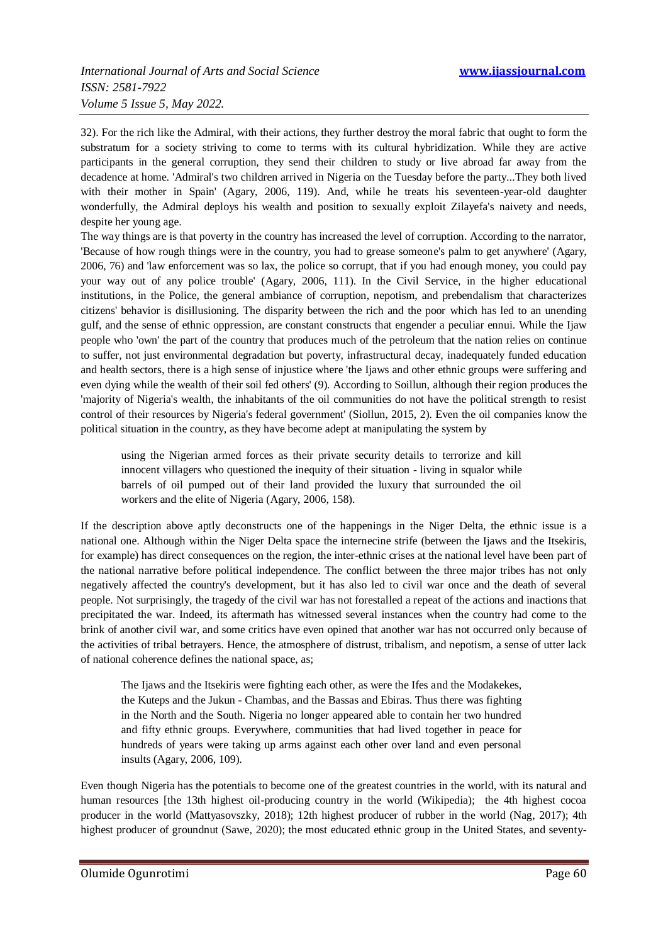32). For the rich like the Admiral, with their actions, they further destroy the moral fabric that ought to form the substratum for a society striving to come to terms with its cultural hybridization. While they are active participants in the general corruption, they send their children to study or live abroad far away from the decadence at home. 'Admiral's two children arrived in Nigeria on the Tuesday before the party...They both lived with their mother in Spain' (Agary, 2006, 119). And, while he treats his seventeen-year-old daughter wonderfully, the Admiral deploys his wealth and position to sexually exploit Zilayefa's naivety and needs, despite her young age.

The way things are is that poverty in the country has increased the level of corruption. According to the narrator, 'Because of how rough things were in the country, you had to grease someone's palm to get anywhere' (Agary, 2006, 76) and 'law enforcement was so lax, the police so corrupt, that if you had enough money, you could pay your way out of any police trouble' (Agary, 2006, 111). In the Civil Service, in the higher educational institutions, in the Police, the general ambiance of corruption, nepotism, and prebendalism that characterizes citizens' behavior is disillusioning. The disparity between the rich and the poor which has led to an unending gulf, and the sense of ethnic oppression, are constant constructs that engender a peculiar ennui. While the Ijaw people who 'own' the part of the country that produces much of the petroleum that the nation relies on continue to suffer, not just environmental degradation but poverty, infrastructural decay, inadequately funded education and health sectors, there is a high sense of injustice where 'the Ijaws and other ethnic groups were suffering and even dying while the wealth of their soil fed others' (9). According to Soillun, although their region produces the 'majority of Nigeria's wealth, the inhabitants of the oil communities do not have the political strength to resist control of their resources by Nigeria's federal government' (Siollun, 2015, 2). Even the oil companies know the political situation in the country, as they have become adept at manipulating the system by

using the Nigerian armed forces as their private security details to terrorize and kill innocent villagers who questioned the inequity of their situation - living in squalor while barrels of oil pumped out of their land provided the luxury that surrounded the oil workers and the elite of Nigeria (Agary, 2006, 158).

If the description above aptly deconstructs one of the happenings in the Niger Delta, the ethnic issue is a national one. Although within the Niger Delta space the internecine strife (between the Ijaws and the Itsekiris, for example) has direct consequences on the region, the inter-ethnic crises at the national level have been part of the national narrative before political independence. The conflict between the three major tribes has not only negatively affected the country's development, but it has also led to civil war once and the death of several people. Not surprisingly, the tragedy of the civil war has not forestalled a repeat of the actions and inactions that precipitated the war. Indeed, its aftermath has witnessed several instances when the country had come to the brink of another civil war, and some critics have even opined that another war has not occurred only because of the activities of tribal betrayers. Hence, the atmosphere of distrust, tribalism, and nepotism, a sense of utter lack of national coherence defines the national space, as;

The Ijaws and the Itsekiris were fighting each other, as were the Ifes and the Modakekes, the Kuteps and the Jukun - Chambas, and the Bassas and Ebiras. Thus there was fighting in the North and the South. Nigeria no longer appeared able to contain her two hundred and fifty ethnic groups. Everywhere, communities that had lived together in peace for hundreds of years were taking up arms against each other over land and even personal insults (Agary, 2006, 109).

Even though Nigeria has the potentials to become one of the greatest countries in the world, with its natural and human resources [the 13th highest oil-producing country in the world (Wikipedia); the 4th highest cocoa producer in the world (Mattyasovszky, 2018); 12th highest producer of rubber in the world (Nag, 2017); 4th highest producer of groundnut (Sawe, 2020); the most educated ethnic group in the United States, and seventy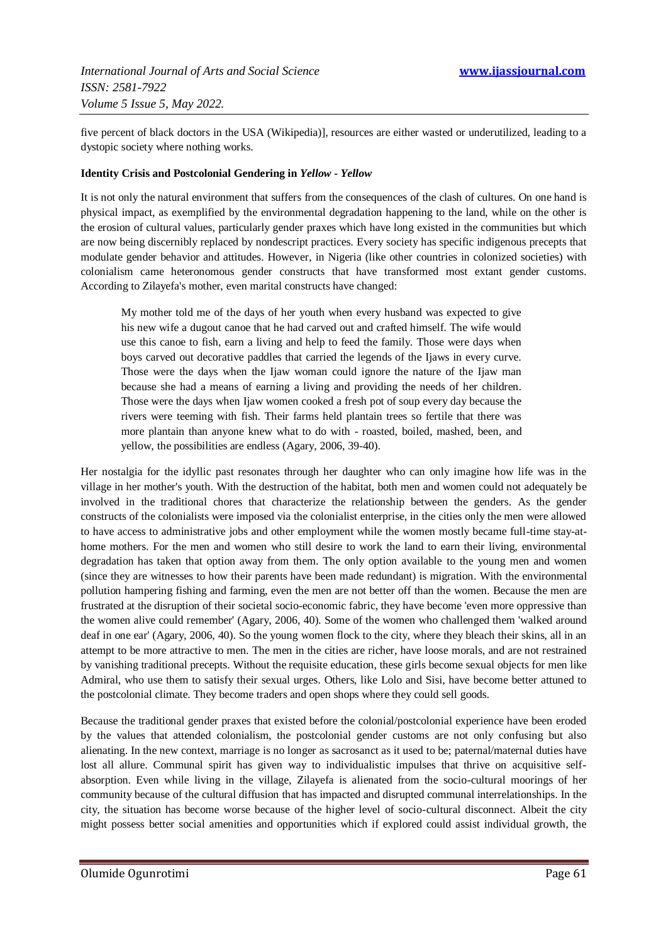five percent of black doctors in the USA (Wikipedia)], resources are either wasted or underutilized, leading to a dystopic society where nothing works.

#### **Identity Crisis and Postcolonial Gendering in** *Yellow - Yellow*

It is not only the natural environment that suffers from the consequences of the clash of cultures. On one hand is physical impact, as exemplified by the environmental degradation happening to the land, while on the other is the erosion of cultural values, particularly gender praxes which have long existed in the communities but which are now being discernibly replaced by nondescript practices. Every society has specific indigenous precepts that modulate gender behavior and attitudes. However, in Nigeria (like other countries in colonized societies) with colonialism came heteronomous gender constructs that have transformed most extant gender customs. According to Zilayefa's mother, even marital constructs have changed:

My mother told me of the days of her youth when every husband was expected to give his new wife a dugout canoe that he had carved out and crafted himself. The wife would use this canoe to fish, earn a living and help to feed the family. Those were days when boys carved out decorative paddles that carried the legends of the Ijaws in every curve. Those were the days when the Ijaw woman could ignore the nature of the Ijaw man because she had a means of earning a living and providing the needs of her children. Those were the days when Ijaw women cooked a fresh pot of soup every day because the rivers were teeming with fish. Their farms held plantain trees so fertile that there was more plantain than anyone knew what to do with - roasted, boiled, mashed, been, and yellow, the possibilities are endless (Agary, 2006, 39-40).

Her nostalgia for the idyllic past resonates through her daughter who can only imagine how life was in the village in her mother's youth. With the destruction of the habitat, both men and women could not adequately be involved in the traditional chores that characterize the relationship between the genders. As the gender constructs of the colonialists were imposed via the colonialist enterprise, in the cities only the men were allowed to have access to administrative jobs and other employment while the women mostly became full-time stay-athome mothers. For the men and women who still desire to work the land to earn their living, environmental degradation has taken that option away from them. The only option available to the young men and women (since they are witnesses to how their parents have been made redundant) is migration. With the environmental pollution hampering fishing and farming, even the men are not better off than the women. Because the men are frustrated at the disruption of their societal socio-economic fabric, they have become 'even more oppressive than the women alive could remember' (Agary, 2006, 40). Some of the women who challenged them 'walked around deaf in one ear' (Agary, 2006, 40). So the young women flock to the city, where they bleach their skins, all in an attempt to be more attractive to men. The men in the cities are richer, have loose morals, and are not restrained by vanishing traditional precepts. Without the requisite education, these girls become sexual objects for men like Admiral, who use them to satisfy their sexual urges. Others, like Lolo and Sisi, have become better attuned to the postcolonial climate. They become traders and open shops where they could sell goods.

Because the traditional gender praxes that existed before the colonial/postcolonial experience have been eroded by the values that attended colonialism, the postcolonial gender customs are not only confusing but also alienating. In the new context, marriage is no longer as sacrosanct as it used to be; paternal/maternal duties have lost all allure. Communal spirit has given way to individualistic impulses that thrive on acquisitive selfabsorption. Even while living in the village, Zilayefa is alienated from the socio-cultural moorings of her community because of the cultural diffusion that has impacted and disrupted communal interrelationships. In the city, the situation has become worse because of the higher level of socio-cultural disconnect. Albeit the city might possess better social amenities and opportunities which if explored could assist individual growth, the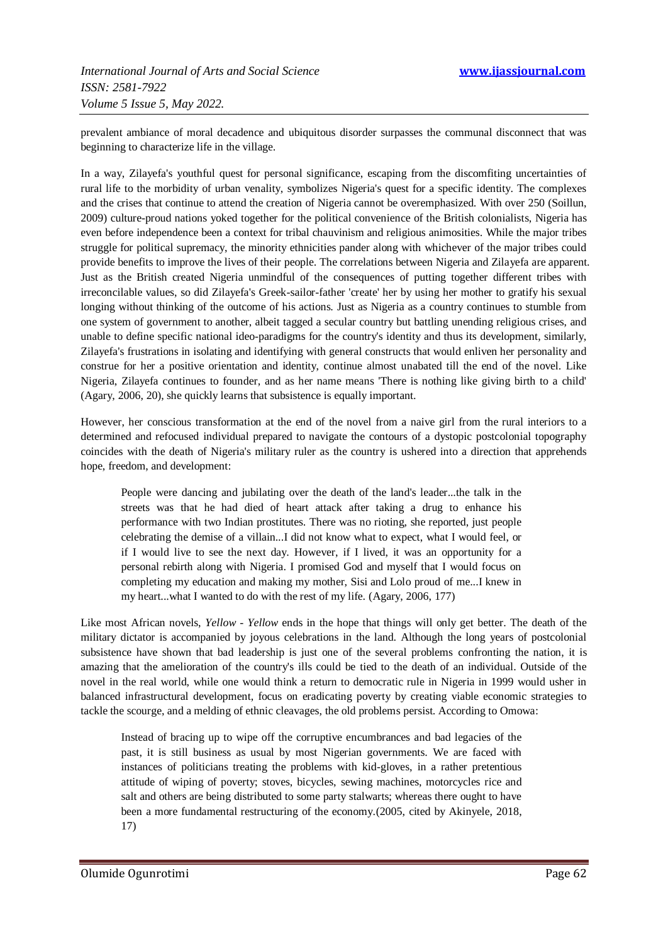prevalent ambiance of moral decadence and ubiquitous disorder surpasses the communal disconnect that was beginning to characterize life in the village.

In a way, Zilayefa's youthful quest for personal significance, escaping from the discomfiting uncertainties of rural life to the morbidity of urban venality, symbolizes Nigeria's quest for a specific identity. The complexes and the crises that continue to attend the creation of Nigeria cannot be overemphasized. With over 250 (Soillun, 2009) culture-proud nations yoked together for the political convenience of the British colonialists, Nigeria has even before independence been a context for tribal chauvinism and religious animosities. While the major tribes struggle for political supremacy, the minority ethnicities pander along with whichever of the major tribes could provide benefits to improve the lives of their people. The correlations between Nigeria and Zilayefa are apparent. Just as the British created Nigeria unmindful of the consequences of putting together different tribes with irreconcilable values, so did Zilayefa's Greek-sailor-father 'create' her by using her mother to gratify his sexual longing without thinking of the outcome of his actions. Just as Nigeria as a country continues to stumble from one system of government to another, albeit tagged a secular country but battling unending religious crises, and unable to define specific national ideo-paradigms for the country's identity and thus its development, similarly, Zilayefa's frustrations in isolating and identifying with general constructs that would enliven her personality and construe for her a positive orientation and identity, continue almost unabated till the end of the novel. Like Nigeria, Zilayefa continues to founder, and as her name means 'There is nothing like giving birth to a child' (Agary, 2006, 20), she quickly learns that subsistence is equally important.

However, her conscious transformation at the end of the novel from a naive girl from the rural interiors to a determined and refocused individual prepared to navigate the contours of a dystopic postcolonial topography coincides with the death of Nigeria's military ruler as the country is ushered into a direction that apprehends hope, freedom, and development:

People were dancing and jubilating over the death of the land's leader...the talk in the streets was that he had died of heart attack after taking a drug to enhance his performance with two Indian prostitutes. There was no rioting, she reported, just people celebrating the demise of a villain...I did not know what to expect, what I would feel, or if I would live to see the next day. However, if I lived, it was an opportunity for a personal rebirth along with Nigeria. I promised God and myself that I would focus on completing my education and making my mother, Sisi and Lolo proud of me...I knew in my heart...what I wanted to do with the rest of my life. (Agary, 2006, 177)

Like most African novels, *Yellow - Yellow* ends in the hope that things will only get better. The death of the military dictator is accompanied by joyous celebrations in the land. Although the long years of postcolonial subsistence have shown that bad leadership is just one of the several problems confronting the nation, it is amazing that the amelioration of the country's ills could be tied to the death of an individual. Outside of the novel in the real world, while one would think a return to democratic rule in Nigeria in 1999 would usher in balanced infrastructural development, focus on eradicating poverty by creating viable economic strategies to tackle the scourge, and a melding of ethnic cleavages, the old problems persist. According to Omowa:

Instead of bracing up to wipe off the corruptive encumbrances and bad legacies of the past, it is still business as usual by most Nigerian governments. We are faced with instances of politicians treating the problems with kid-gloves, in a rather pretentious attitude of wiping of poverty; stoves, bicycles, sewing machines, motorcycles rice and salt and others are being distributed to some party stalwarts; whereas there ought to have been a more fundamental restructuring of the economy.(2005, cited by Akinyele, 2018, 17)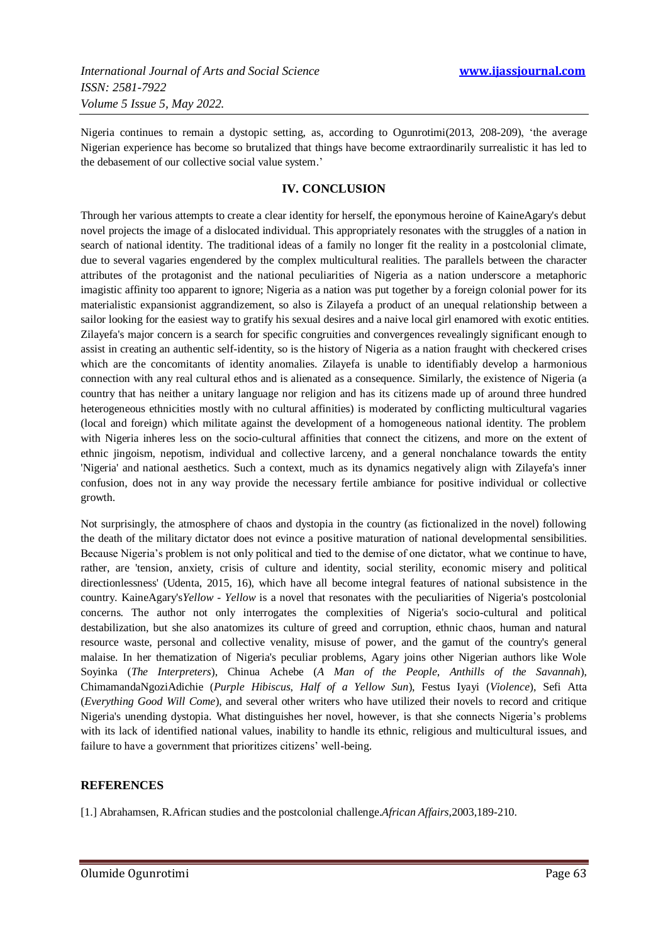Nigeria continues to remain a dystopic setting, as, according to Ogunrotimi(2013, 208-209), 'the average Nigerian experience has become so brutalized that things have become extraordinarily surrealistic it has led to the debasement of our collective social value system.'

#### **IV. CONCLUSION**

Through her various attempts to create a clear identity for herself, the eponymous heroine of KaineAgary's debut novel projects the image of a dislocated individual. This appropriately resonates with the struggles of a nation in search of national identity. The traditional ideas of a family no longer fit the reality in a postcolonial climate, due to several vagaries engendered by the complex multicultural realities. The parallels between the character attributes of the protagonist and the national peculiarities of Nigeria as a nation underscore a metaphoric imagistic affinity too apparent to ignore; Nigeria as a nation was put together by a foreign colonial power for its materialistic expansionist aggrandizement, so also is Zilayefa a product of an unequal relationship between a sailor looking for the easiest way to gratify his sexual desires and a naive local girl enamored with exotic entities. Zilayefa's major concern is a search for specific congruities and convergences revealingly significant enough to assist in creating an authentic self-identity, so is the history of Nigeria as a nation fraught with checkered crises which are the concomitants of identity anomalies. Zilayefa is unable to identifiably develop a harmonious connection with any real cultural ethos and is alienated as a consequence. Similarly, the existence of Nigeria (a country that has neither a unitary language nor religion and has its citizens made up of around three hundred heterogeneous ethnicities mostly with no cultural affinities) is moderated by conflicting multicultural vagaries (local and foreign) which militate against the development of a homogeneous national identity. The problem with Nigeria inheres less on the socio-cultural affinities that connect the citizens, and more on the extent of ethnic jingoism, nepotism, individual and collective larceny, and a general nonchalance towards the entity 'Nigeria' and national aesthetics. Such a context, much as its dynamics negatively align with Zilayefa's inner confusion, does not in any way provide the necessary fertile ambiance for positive individual or collective growth.

Not surprisingly, the atmosphere of chaos and dystopia in the country (as fictionalized in the novel) following the death of the military dictator does not evince a positive maturation of national developmental sensibilities. Because Nigeria's problem is not only political and tied to the demise of one dictator, what we continue to have, rather, are 'tension, anxiety, crisis of culture and identity, social sterility, economic misery and political directionlessness' (Udenta, 2015, 16), which have all become integral features of national subsistence in the country. KaineAgary's*Yellow - Yellow* is a novel that resonates with the peculiarities of Nigeria's postcolonial concerns. The author not only interrogates the complexities of Nigeria's socio-cultural and political destabilization, but she also anatomizes its culture of greed and corruption, ethnic chaos, human and natural resource waste, personal and collective venality, misuse of power, and the gamut of the country's general malaise. In her thematization of Nigeria's peculiar problems, Agary joins other Nigerian authors like Wole Soyinka (*The Interpreters*), Chinua Achebe (*A Man of the People*, *Anthills of the Savannah*), ChimamandaNgoziAdichie (*Purple Hibiscus*, *Half of a Yellow Sun*), Festus Iyayi (*Violence*), Sefi Atta (*Everything Good Will Come*), and several other writers who have utilized their novels to record and critique Nigeria's unending dystopia. What distinguishes her novel, however, is that she connects Nigeria's problems with its lack of identified national values, inability to handle its ethnic, religious and multicultural issues, and failure to have a government that prioritizes citizens' well-being.

#### **REFERENCES**

[1.] Abrahamsen, R.African studies and the postcolonial challenge.*African Affairs,*2003,189-210.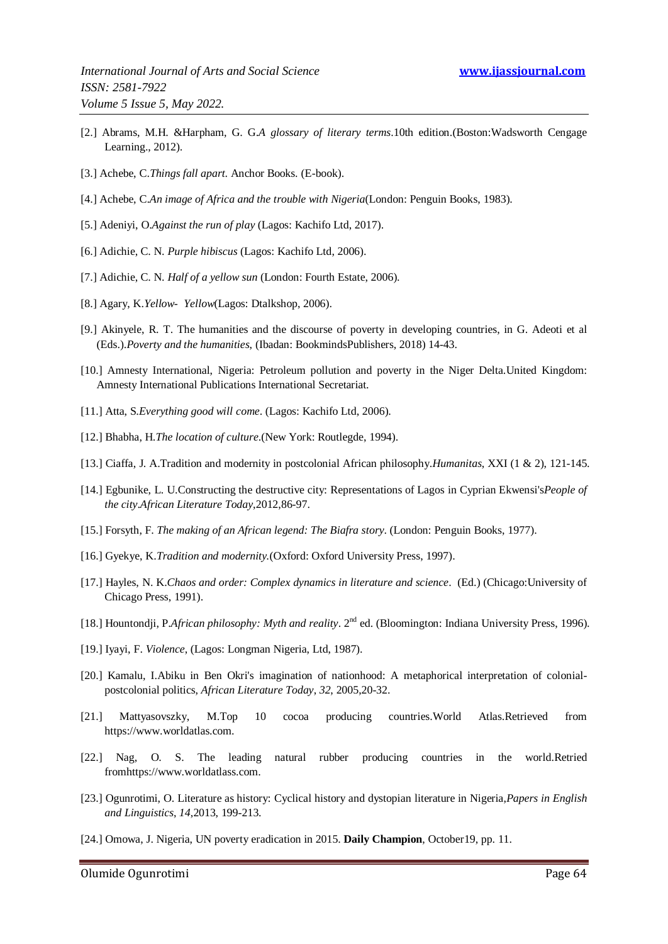- [2.] Abrams, M.H. &Harpham, G. G.*A glossary of literary terms*.10th edition.(Boston:Wadsworth Cengage Learning., 2012).
- [3.] Achebe, C.*Things fall apart*. Anchor Books. (E-book).
- [4.] Achebe, C.*An image of Africa and the trouble with Nigeria*(London: Penguin Books, 1983).
- [5.] Adeniyi, O.*Against the run of play* (Lagos: Kachifo Ltd, 2017).
- [6.] Adichie, C. N. *Purple hibiscus* (Lagos: Kachifo Ltd, 2006).
- [7.] Adichie, C. N. *Half of a yellow sun* (London: Fourth Estate, 2006).
- [8.] Agary, K.*Yellow- Yellow*(Lagos: Dtalkshop, 2006).
- [9.] Akinyele, R. T. The humanities and the discourse of poverty in developing countries, in G. Adeoti et al (Eds.).*Poverty and the humanities*, (Ibadan: BookmindsPublishers, 2018) 14-43.
- [10.] Amnesty International, Nigeria: Petroleum pollution and poverty in the Niger Delta.United Kingdom: Amnesty International Publications International Secretariat.
- [11.] Atta, S.*Everything good will come*. (Lagos: Kachifo Ltd, 2006).
- [12.] Bhabha, H.*The location of culture*.(New York: Routlegde, 1994).
- [13.] Ciaffa, J. A.Tradition and modernity in postcolonial African philosophy.*Humanitas*, XXI (1 & 2), 121-145.
- [14.] Egbunike, L. U.Constructing the destructive city: Representations of Lagos in Cyprian Ekwensi's*People of the city*.*African Literature Today*,2012,86-97.
- [15.] Forsyth, F. *The making of an African legend: The Biafra story*. (London: Penguin Books, 1977).
- [16.] Gyekye, K.*Tradition and modernity.*(Oxford: Oxford University Press, 1997).
- [17.] Hayles, N. K.*Chaos and order: Complex dynamics in literature and science*. (Ed.) (Chicago:University of Chicago Press, 1991).
- [18.] Hountondji, P.*African philosophy: Myth and reality*. 2nd ed. (Bloomington: Indiana University Press, 1996).
- [19.] Iyayi, F. *Violence*, (Lagos: Longman Nigeria, Ltd, 1987).
- [20.] Kamalu, I.Abiku in Ben Okri's imagination of nationhood: A metaphorical interpretation of colonialpostcolonial politics, *African Literature Today*, *32*, 2005,20-32.
- [21.] Mattyasovszky, M.Top 10 cocoa producing countries.World Atlas.Retrieved from https://www.worldatlas.com.
- [22.] Nag, O. S. The leading natural rubber producing countries in the world.Retried fromhttps://www.worldatlass.com.
- [23.] Ogunrotimi, O. Literature as history: Cyclical history and dystopian literature in Nigeria,*Papers in English and Linguistics*, *14*,2013, 199-213.
- [24.] Omowa, J. Nigeria, UN poverty eradication in 2015. **Daily Champion**, October19, pp. 11.